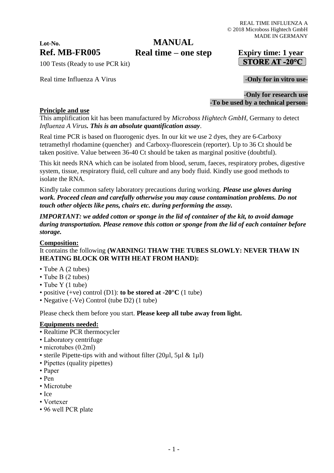# **Lot-No.**

### **Ref. MB-FR005 Expiry time: 1 year Real time – one stepMANUAL**

100 Tests (Ready to use PCR kit)

Real time Influenza A Virus **and Secure 2 and Secure 2 and Secure 2 and Secure 2 and Security 1 and Secure 2 and Security 1 and Security 1 and Security 1 and Security 1 and Security 1 and Security 1 and Security 1 and Secu** 

## STORE AT -20 $^{\circ}$ C

-**Only for research use -To be used by a technical person-**

#### **Principle and use**

This amplification kit has been manufactured by *Microboss Hightech GmbH*, Germany to detect *Influenza A Virus. This is an absolute quantification assay*.

Real time PCR is based on fluorogenic dyes. In our kit we use 2 dyes, they are 6-Carboxy tetramethyl rhodamine (quencher) and Carboxy-fluorescein (reporter). Up to 36 Ct should be taken positive. Value between 36-40 Ct should be taken as marginal positive (doubtful).

This kit needs RNA which can be isolated from blood, serum, faeces, respiratory probes, digestive system, tissue, respiratory fluid, cell culture and any body fluid. Kindly use good methods to isolate the RNA.

Kindly take common safety laboratory precautions during working. *Please use gloves during work. Proceed clean and carefully otherwise you may cause contamination problems. Do not touch other objects like pens, chairs etc. during performing the assay.*

*IMPORTANT: we added cotton or sponge in the lid of container of the kit, to avoid damage during transportation. Please remove this cotton or sponge from the lid of each container before storage.*

#### **Composition:**

It contains the following **(WARNING! THAW THE TUBES SLOWLY: NEVER THAW IN HEATING BLOCK OR WITH HEAT FROM HAND):**

- Tube A (2 tubes)
- Tube B (2 tubes)
- Tube Y (1 tube)
- positive (+ve) control (D1): **to be stored at -20°C** (1 tube)
- Negative (-Ve) Control (tube D2) (1 tube)

Please check them before you start. **Please keep all tube away from light.**

#### **Equipments needed:**

- Realtime PCR thermocycler
- Laboratory centrifuge
- microtubes (0.2ml)
- sterile Pipette-tips with and without filter (20µl, 5µl & 1µl)
- Pipettes (quality pipettes)
- Paper
- Pen
- Microtube
- Ice
- Vortexer
- 96 well PCR plate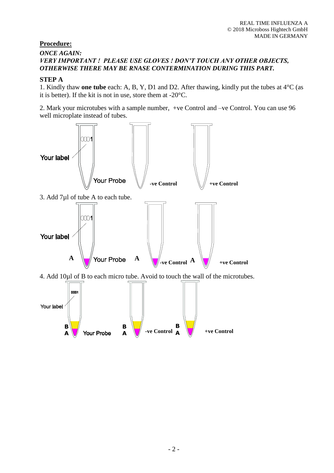#### **Procedure:**

#### *ONCE AGAIN: VERY IMPORTANT ! PLEASE USE GLOVES ! DON'T TOUCH ANY OTHER OBJECTS, OTHERWISE THERE MAY BE RNASE CONTERMINATION DURING THIS PART.*

#### **STEP A**

1. Kindly thaw **one tube** each: A, B, Y, D1 and D2. After thawing, kindly put the tubes at 4°C (as it is better). If the kit is not in use, store them at -20°C.

2. Mark your microtubes with a sample number, +ve Control and –ve Control. You can use 96 well microplate instead of tubes.

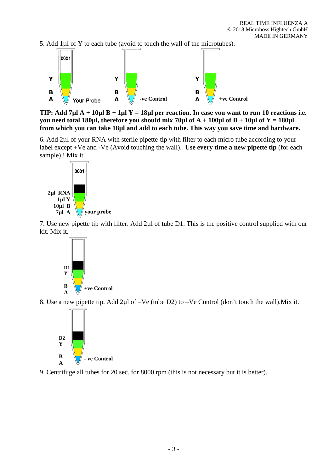5. Add 1µl of Y to each tube (avoid to touch the wall of the microtubes).



**TIP: Add 7µl A + 10µl B + 1µl Y = 18µl per reaction. In case you want to run 10 reactions i.e. you need total 180µl, therefore you should mix 70µl of**  $A + 100\mu$ **l of**  $B + 10\mu$ **l of**  $Y = 180\mu$ **l from which you can take 18µl and add to each tube. This way you save time and hardware.**

6. Add 2µl of your RNA with sterile pipette-tip with filter to each micro tube according to your label except +Ve and -Ve (Avoid touching the wall). **Use every time a new pipette tip** (for each sample) ! Mix it.



7. Use new pipette tip with filter. Add 2µl of tube D1. This is the positive control supplied with our kit. Mix it.



8. Use a new pipette tip. Add 2µl of –Ve (tube D2) to –Ve Control (don't touch the wall).Mix it.



9. Centrifuge all tubes for 20 sec. for 8000 rpm (this is not necessary but it is better).